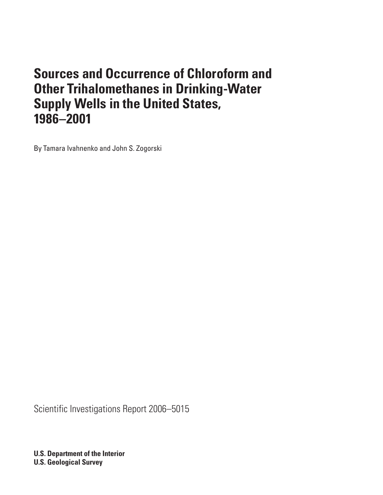# <span id="page-0-0"></span>**Sources and Occurrence of Chloroform and Other Trihalomethanes in Drinking-Water Supply Wells in the United States, 1986–2001**

By Tamara Ivahnenko and John S. Zogorski

Scientific Investigations Report 2006–5015

**U.S. Department of the Interior U.S. Geological Survey**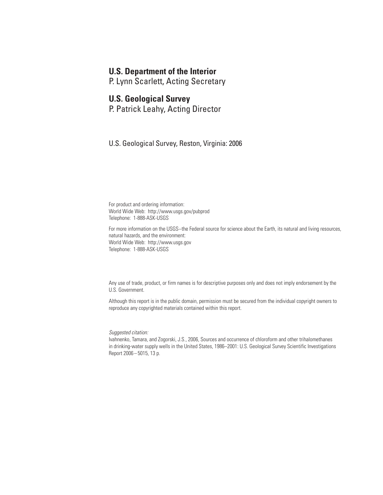### **U.S. Department of the Interior**

P. Lynn Scarlett, Acting Secretary

#### **U.S. Geological Survey**

P. Patrick Leahy, Acting Director

U.S. Geological Survey, Reston, Virginia: 2006

For product and ordering information: World Wide Web: http://www.usgs.gov/pubprod Telephone: 1-888-ASK-USGS

For more information on the USGS--the Federal source for science about the Earth, its natural and living resources, natural hazards, and the environment: World Wide Web: http://www.usgs.gov Telephone: 1-888-ASK-USGS

Any use of trade, product, or firm names is for descriptive purposes only and does not imply endorsement by the U.S. Government.

Although this report is in the public domain, permission must be secured from the individual copyright owners to reproduce any copyrighted materials contained within this report.

*Suggested citation:*

Ivahnenko, Tamara, and Zogorski, J.S., 2006, Sources and occurrence of chloroform and other trihalomethanes in drinking-water supply wells in the United States, 1986–2001: U.S. Geological Survey Scientific Investigations Report 2006–5015, 13 p.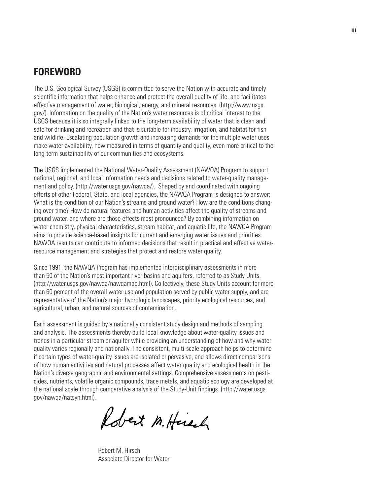## **FOREWORD**

The U.S. Geological Survey (USGS) is committed to serve the Nation with accurate and timely scientific information that helps enhance and protect the overall quality of life, and facilitates effective management of water, biological, energy, and mineral resources. (http://www.usgs. gov/). Information on the quality of the Nation's water resources is of critical interest to the USGS because it is so integrally linked to the long-term availability of water that is clean and safe for drinking and recreation and that is suitable for industry, irrigation, and habitat for fish and wildlife. Escalating population growth and increasing demands for the multiple water uses make water availability, now measured in terms of quantity and quality, even more critical to the long-term sustainability of our communities and ecosystems.

The USGS implemented the National Water-Quality Assessment (NAWQA) Program to support national, regional, and local information needs and decisions related to water-quality management and policy. (http://water.usgs.gov/nawqa/). Shaped by and coordinated with ongoing efforts of other Federal, State, and local agencies, the NAWQA Program is designed to answer: What is the condition of our Nation's streams and ground water? How are the conditions changing over time? How do natural features and human activities affect the quality of streams and ground water, and where are those effects most pronounced? By combining information on water chemistry, physical characteristics, stream habitat, and aquatic life, the NAWQA Program aims to provide science-based insights for current and emerging water issues and priorities. NAWQA results can contribute to informed decisions that result in practical and effective waterresource management and strategies that protect and restore water quality.

Since 1991, the NAWQA Program has implemented interdisciplinary assessments in more than 50 of the Nation's most important river basins and aquifers, referred to as Study Units. (http://water.usgs.gov/nawqa/nawqamap.html). Collectively, these Study Units account for more than 60 percent of the overall water use and population served by public water supply, and are representative of the Nation's major hydrologic landscapes, priority ecological resources, and agricultural, urban, and natural sources of contamination.

Each assessment is guided by a nationally consistent study design and methods of sampling and analysis. The assessments thereby build local knowledge about water-quality issues and trends in a particular stream or aquifer while providing an understanding of how and why water quality varies regionally and nationally. The consistent, multi-scale approach helps to determine if certain types of water-quality issues are isolated or pervasive, and allows direct comparisons of how human activities and natural processes affect water quality and ecological health in the Nation's diverse geographic and environmental settings. Comprehensive assessments on pesticides, nutrients, volatile organic compounds, trace metals, and aquatic ecology are developed at the national scale through comparative analysis of the Study-Unit findings. (http://water.usgs. gov/nawqa/natsyn.html).

Robert M. Heisch

Robert M. Hirsch Associate Director for Water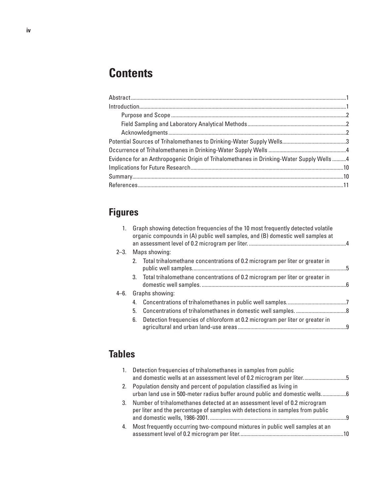# **Contents**

| Evidence for an Anthropogenic Origin of Trihalomethanes in Drinking-Water Supply Wells 4 |  |
|------------------------------------------------------------------------------------------|--|
|                                                                                          |  |
|                                                                                          |  |
|                                                                                          |  |
|                                                                                          |  |

## **Figures**

| Maps showing:<br>$2 - 3$ .<br>2. Total trihalomethane concentrations of 0.2 microgram per liter or greater in<br>3. Total trihalomethane concentrations of 0.2 microgram per liter or greater in<br>Graphs showing:<br>4-6. |    |
|-----------------------------------------------------------------------------------------------------------------------------------------------------------------------------------------------------------------------------|----|
|                                                                                                                                                                                                                             |    |
|                                                                                                                                                                                                                             | .5 |
|                                                                                                                                                                                                                             |    |
|                                                                                                                                                                                                                             |    |
|                                                                                                                                                                                                                             |    |
| 5.                                                                                                                                                                                                                          |    |
| Detection frequencies of chloroform at 0.2 microgram per liter or greater in<br>6.                                                                                                                                          |    |

## **Tables**

|    | 1. Detection frequencies of trihalomethanes in samples from public<br>and domestic wells at an assessment level of 0.2 microgram per liter5                  |     |
|----|--------------------------------------------------------------------------------------------------------------------------------------------------------------|-----|
|    | 2. Population density and percent of population classified as living in<br>urban land use in 500-meter radius buffer around public and domestic wells6       |     |
| 3. | Number of trihalomethanes detected at an assessment level of 0.2 microgram<br>per liter and the percentage of samples with detections in samples from public | - q |
| 4. | Most frequently occurring two-compound mixtures in public well samples at an                                                                                 |     |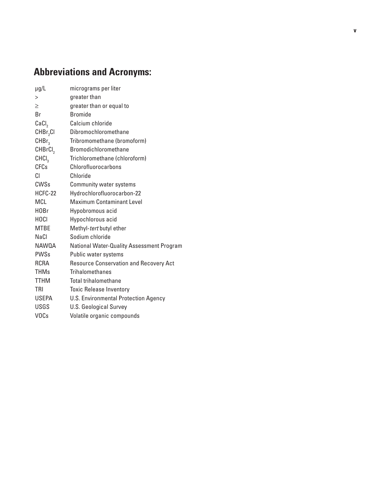# **Abbreviations and Acronyms:**

| $\mu$ g/L            | micrograms per liter                             |
|----------------------|--------------------------------------------------|
| >                    | greater than                                     |
| $\geq$               | greater than or equal to                         |
| Br                   | <b>Bromide</b>                                   |
| CaCl,                | Calcium chloride                                 |
| CHBr <sub>2</sub> Cl | Dibromochloromethane                             |
| CHBr <sub>3</sub>    | Tribromomethane (bromoform)                      |
| CHBrCI,              | <b>Bromodichloromethane</b>                      |
| CHCI <sub>3</sub>    | Trichloromethane (chloroform)                    |
| <b>CFCs</b>          | Chlorofluorocarbons                              |
| CI.                  | Chloride                                         |
| <b>CWSs</b>          | Community water systems                          |
| HCFC-22              | Hydrochlorofluorocarbon-22                       |
| <b>MCL</b>           | <b>Maximum Contaminant Level</b>                 |
| H <sub>0</sub> Br    | Hypobromous acid                                 |
| <b>HOCI</b>          | Hypochlorous acid                                |
| <b>MTBE</b>          | Methyl-tert butyl ether                          |
| <b>NaCl</b>          | Sodium chloride                                  |
| NAW0A                | <b>National Water-Quality Assessment Program</b> |
| <b>PWSs</b>          | Public water systems                             |
| <b>RCRA</b>          | Resource Conservation and Recovery Act           |
| <b>THMs</b>          | <b>Trihalomethanes</b>                           |
| <b>TTHM</b>          | Total trihalomethane                             |
| TRI                  | <b>Toxic Release Inventory</b>                   |
| <b>USEPA</b>         | U.S. Environmental Protection Agency             |
| <b>USGS</b>          | <b>U.S. Geological Survey</b>                    |
| <b>VOCs</b>          | Volatile organic compounds                       |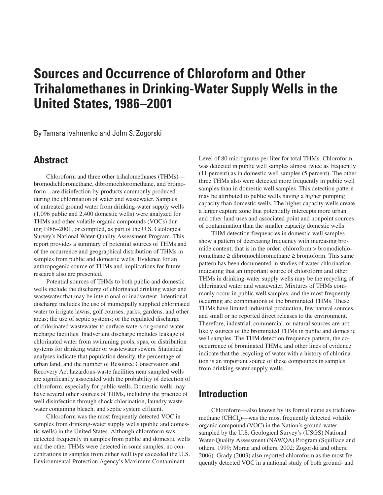## **Sources and Occurrence of Chloroform and Other Trihalomethanes in Drinking-Water Supply Wells in the United States, 1986–2001**

By Tamara Ivahnenko and John S. Zogorski

### **Abstract**

Chloroform and three other trihalomethanes (THMs) bromodichloromethane, dibromochloromethane, and bromoform—are disinfection by-products commonly produced during the chlorination of water and wastewater. Samples of untreated ground water from drinking-water supply wells (1,096 public and 2,400 domestic wells) were analyzed for THMs and other volatile organic compounds (VOCs) during 1986–2001, or compiled, as part of the U.S. Geological Survey's National Water-Quality Assessment Program. This report provides a summary of potential sources of THMs and of the occurrence and geographical distribution of THMs in samples from public and domestic wells. Evidence for an anthropogenic source of THMs and implications for future research also are presented.

Potential sources of THMs to both public and domestic wells include the discharge of chlorinated drinking water and wastewater that may be intentional or inadvertent. Intentional discharge includes the use of municipally supplied chlorinated water to irrigate lawns, golf courses, parks, gardens, and other areas; the use of septic systems; or the regulated discharge of chlorinated wastewater to surface waters or ground-water recharge facilities. Inadvertent discharge includes leakage of chlorinated water from swimming pools, spas, or distribution systems for drinking water or wastewater sewers. Statistical analyses indicate that population density, the percentage of urban land, and the number of Resource Conservation and Recovery Act hazardous-waste facilities near sampled wells are significantly associated with the probability of detection of chloroform, especially for public wells. Domestic wells may have several other sources of THMs, including the practice of well disinfection through shock chlorination, laundry wastewater containing bleach, and septic system effluent.

Chloroform was the most frequently detected VOC in samples from drinking-water supply wells (public and domestic wells) in the United States. Although chloroform was detected frequently in samples from public and domestic wells and the other THMs were detected in some samples, no concentrations in samples from either well type exceeded the U.S. Environmental Protection Agency's Maximum Contaminant

Level of 80 micrograms per liter for total THMs. Chloroform was detected in public well samples almost twice as frequently (11 percent) as in domestic well samples (5 percent). The other three THMs also were detected more frequently in public well samples than in domestic well samples. This detection pattern may be attributed to public wells having a higher pumping capacity than domestic wells. The higher capacity wells create a larger capture zone that potentially intercepts more urban and other land uses and associated point and nonpoint sources of contamination than the smaller capacity domestic wells.

THM detection frequencies in domestic well samples show a pattern of decreasing frequency with increasing bromide content, that is in the order: chloroform > bromodichloromethane ≥ dibromochloromethane ≥ bromoform. This same pattern has been documented in studies of water chlorination, indicating that an important source of chloroform and other THMs in drinking-water supply wells may be the recycling of chlorinated water and wastewater. Mixtures of THMs commonly occur in public well samples, and the most frequently occurring are combinations of the brominated THMs. These THMs have limited industrial production, few natural sources, and small or no reported direct releases to the environment. Therefore, industrial, commercial, or natural sources are not likely sources of the brominated THMs in public and domestic well samples. The THM detection frequency pattern, the cooccurrence of brominated THMs, and other lines of evidence indicate that the recycling of water with a history of chlorination is an important source of these compounds in samples from drinking-water supply wells.

### **Introduction**

Chloroform—also known by its formal name as trichloromethane (CHCl<sub>3</sub>)—was the most frequently detected volatile organic compound (VOC) in the Nation's ground water sampled by the U.S. Geological Survey's (USGS) National Water-Quality Assessment (NAWQA) Program (Squillace and others, 1999; Moran and others, 2002; Zogorski and others, 2006). Grady (2003) also reported chloroform as the most frequently detected VOC in a national study of both ground- and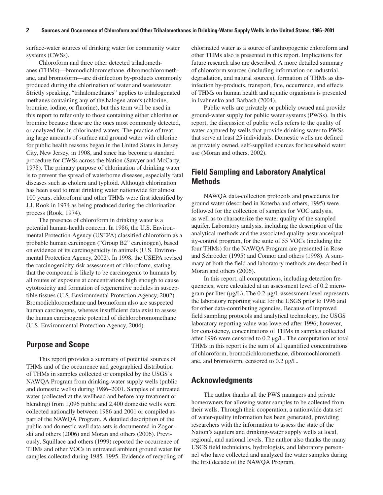surface-water sources of drinking water for community water systems (CWSs).

Chloroform and three other detected trihalomethanes (THMs)—bromodichloromethane, dibromochloromethane, and bromoform—are disinfection by-products commonly produced during the chlorination of water and wastewater. Strictly speaking, "trihalomethanes" applies to trihalogenated methanes containing any of the halogen atoms (chlorine, bromine, iodine, or fluorine), but this term will be used in this report to refer only to those containing either chlorine or bromine because these are the ones most commonly detected, or analyzed for, in chlorinated waters. The practice of treating large amounts of surface and ground water with chlorine for public health reasons began in the United States in Jersey City, New Jersey, in 1908, and since has become a standard procedure for CWSs across the Nation (Sawyer and McCarty, 1978). The primary purpose of chlorination of drinking water is to prevent the spread of waterborne diseases, especially fatal diseases such as cholera and typhoid. Although chlorination has been used to treat drinking water nationwide for almost 100 years, chloroform and other THMs were first identified by J.J. Rook in 1974 as being produced during the chlorination process (Rook, 1974).

The presence of chloroform in drinking water is a potential human-health concern. In 1986, the U.S. Environmental Protection Agency (USEPA) classified chloroform as a probable human carcinogen ("Group B2" carcinogen), based on evidence of its carcinogenicity in animals (U.S. Environmental Protection Agency, 2002). In 1998, the USEPA revised the carcinogenicity risk assessment of chloroform, stating that the compound is likely to be carcinogenic to humans by all routes of exposure at concentrations high enough to cause cytotoxicity and formation of regenerative nodules in susceptible tissues (U.S. Environmental Protection Agency, 2002). Bromodichloromethane and bromoform also are suspected human carcinogens, whereas insufficient data exist to assess the human carcinogenic potential of dichlorobromomethane (U.S. Environmental Protection Agency, 2004).

#### **Purpose and Scope**

This report provides a summary of potential sources of THMs and of the occurrence and geographical distribution of THMs in samples collected or compiled by the USGS's NAWQA Program from drinking-water supply wells (public and domestic wells) during 1986–2001. Samples of untreated water (collected at the wellhead and before any treatment or blending) from 1,096 public and 2,400 domestic wells were collected nationally between 1986 and 2001 or compiled as part of the NAWQA Program. A detailed description of the public and domestic well data sets is documented in Zogorski and others (2006) and Moran and others (2006). Previously, Squillace and others (1999) reported the occurrence of THMs and other VOCs in untreated ambient ground water for samples collected during 1985–1995. Evidence of recycling of chlorinated water as a source of anthropogenic chloroform and other THMs also is presented in this report. Implications for future research also are described. A more detailed summary of chloroform sources (including information on industrial, degradation, and natural sources), formation of THMs as disinfection by-products, transport, fate, occurrence, and effects of THMs on human health and aquatic organisms is presented in Ivahnenko and Barbash (2004).

Public wells are privately or publicly owned and provide ground-water supply for public water systems (PWSs). In this report, the discussion of public wells refers to the quality of water captured by wells that provide drinking water to PWSs that serve at least 25 individuals. Domestic wells are defined as privately owned, self-supplied sources for household water use (Moran and others, 2002).

#### **Field Sampling and Laboratory Analytical Methods**

NAWQA data-collection protocols and procedures for ground water (described in Koterba and others, 1995) were followed for the collection of samples for VOC analysis, as well as to characterize the water quality of the sampled aquifer. Laboratory analysis, including the description of the analytical methods and the associated quality-assurance/quality-control program, for the suite of 55 VOCs (including the four THMs) for the NAWQA Program are presented in Rose and Schroeder (1995) and Connor and others (1998). A summary of both the field and laboratory methods are described in Moran and others (2006).

In this report, all computations, including detection frequencies, were calculated at an assessment level of 0.2 microgram per liter (µg/L). The 0.2-µg/L assessment level represents the laboratory reporting value for the USGS prior to 1996 and for other data-contributing agencies. Because of improved field sampling protocols and analytical technology, the USGS laboratory reporting value was lowered after 1996; however, for consistency, concentrations of THMs in samples collected after 1996 were censored to 0.2 µg/L. The computation of total THMs in this report is the sum of all quantified concentrations of chloroform, bromodichloromethane, dibromochloromethane, and bromoform, censored to 0.2 µg/L.

#### **Acknowledgments**

The author thanks all the PWS managers and private homeowners for allowing water samples to be collected from their wells. Through their cooperation, a nationwide data set of water-quality information has been generated, providing researchers with the information to assess the state of the Nation's aquifers and drinking-water supply wells at local, regional, and national levels. The author also thanks the many USGS field technicians, hydrologists, and laboratory personnel who have collected and analyzed the water samples during the first decade of the NAWQA Program.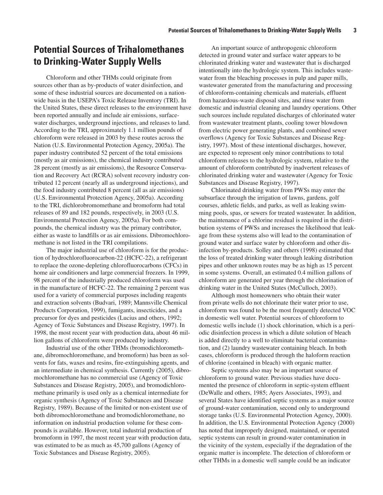## **Potential Sources of Trihalomethanes to Drinking-Water Supply Wells**

Chloroform and other THMs could originate from sources other than as by-products of water disinfection, and some of these industrial sources are documented on a nationwide basis in the USEPA's Toxic Release Inventory (TRI). In the United States, these direct releases to the environment have been reported annually and include air emissions, surfacewater discharges, underground injections, and releases to land. According to the TRI, approximately 1.1 million pounds of chloroform were released in 2003 by these routes across the Nation (U.S. Environmental Protection Agency, 2005a). The paper industry contributed 52 percent of the total emissions (mostly as air emissions), the chemical industry contributed 28 percent (mostly as air emissions), the Resource Conservation and Recovery Act (RCRA) solvent recovery industry contributed 12 percent (nearly all as underground injections), and the food industry contributed 8 percent (all as air emissions) (U.S. Environmental Protection Agency, 2005a). According to the TRI, dichlorobromomethane and bromoform had total releases of 89 and 182 pounds, respectively, in 2003 (U.S. Environmental Protection Agency, 2005a). For both compounds, the chemical industry was the primary contributor, either as waste to landfills or as air emissions. Dibromochloromethane is not listed in the TRI compilations.

The major industrial use of chloroform is for the production of hydrochlorofluorocarbon-22 (HCFC-22), a refrigerant to replace the ozone-depleting chlorofluorocarbons (CFCs) in home air conditioners and large commercial freezers. In 1999, 98 percent of the industrially produced chloroform was used in the manufacture of HCFC-22. The remaining 2 percent was used for a variety of commercial purposes including reagents and extraction solvents (Budvari, 1989; Mannsville Chemical Products Corporation, 1999), fumigants, insecticides, and a precursor for dyes and pesticides (Lucius and others, 1992; Agency of Toxic Substances and Disease Registry, 1997). In 1998, the most recent year with production data, about 46 million gallons of chloroform were produced by industry.

Industrial use of the other THMs (bromodichloromethane, dibromochloromethane, and bromoform) has been as solvents for fats, waxes and resins, fire-extinguishing agents, and an intermediate in chemical synthesis. Currently (2005), dibromochloromethane has no commercial use (Agency of Toxic Substances and Disease Registry, 2005), and bromodichloromethane primarily is used only as a chemical intermediate for organic synthesis (Agency of Toxic Substances and Disease Registry, 1989). Because of the limited or non-existent use of both dibromochloromethane and bromodichloromethane, no information on industrial production volume for these compounds is available. However, total industrial production of bromoform in 1997, the most recent year with production data, was estimated to be as much as 45,700 gallons (Agency of Toxic Substances and Disease Registry, 2005).

An important source of anthropogenic chloroform detected in ground water and surface water appears to be chlorinated drinking water and wastewater that is discharged intentionally into the hydrologic system. This includes wastewater from the bleaching processes in pulp and paper mills, wastewater generated from the manufacturing and processing of chloroform-containing chemicals and materials, effluent from hazardous-waste disposal sites, and rinse water from domestic and industrial cleaning and laundry operations. Other such sources include regulated discharges of chlorinated water from wastewater treatment plants, cooling tower blowdown from electric power generating plants, and combined sewer overflows (Agency for Toxic Substances and Disease Registry, 1997). Most of these intentional discharges, however, are expected to represent only minor contributions to total chloroform releases to the hydrologic system, relative to the amount of chloroform contributed by inadvertent releases of chlorinated drinking water and wastewater (Agency for Toxic Substances and Disease Registry, 1997).

Chlorinated drinking water from PWSs may enter the subsurface through the irrigation of lawns, gardens, golf courses, athletic fields, and parks, as well as leaking swimming pools, spas, or sewers for treated wastewater. In addition, the maintenance of a chlorine residual is required in the distribution systems of PWSs and increases the likelihood that leakage from these systems also will lead to the contamination of ground water and surface water by chloroform and other disinfection by-products. Solley and others (1998) estimated that the loss of treated drinking water through leaking distribution pipes and other unknown routes may be as high as 15 percent in some systems. Overall, an estimated 0.4 million gallons of chloroform are generated per year through the chlorination of drinking water in the United States (McCulloch, 2003).

Although most homeowners who obtain their water from private wells do not chlorinate their water prior to use, chloroform was found to be the most frequently detected VOC in domestic well water. Potential sources of chloroform to domestic wells include (1) shock chlorination, which is a periodic disinfection process in which a dilute solution of bleach is added directly to a well to eliminate bacterial contamination, and (2) laundry wastewater containing bleach. In both cases, chloroform is produced through the haloform reaction of chlorine (contained in bleach) with organic matter.

Septic systems also may be an important source of chloroform to ground water. Previous studies have documented the presence of chloroform in septic-system effluent (DeWalle and others, 1985; Ayers Associates, 1993), and several States have identified septic systems as a major source of ground-water contamination, second only to underground storage tanks (U.S. Environmental Protection Agency, 2000). In addition, the U.S. Environmental Protection Agency (2000) has noted that improperly designed, maintained, or operated septic systems can result in ground-water contamination in the vicinity of the system, especially if the degradation of the organic matter is incomplete. The detection of chloroform or other THMs in a domestic well sample could be an indicator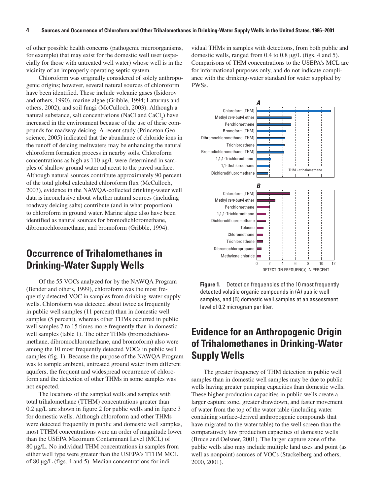of other possible health concerns (pathogenic microorganisms, for example) that may exist for the domestic well user (especially for those with untreated well water) whose well is in the vicinity of an improperly operating septic system.

Chloroform was originally considered of solely anthropogenic origins; however, several natural sources of chloroform have been identified. These include volcanic gases (Isidorov and others, 1990), marine algae (Gribble, 1994; Laturnus and others, 2002), and soil fungi (McCulloch, 2003). Although a natural substance, salt concentrations (NaCl and  $CaCl<sub>2</sub>$ ) have increased in the environment because of the use of these compounds for roadway deicing. A recent study (Princeton Geoscience, 2005) indicated that the abundance of chloride ions in the runoff of deicing meltwaters may be enhancing the natural chloroform formation process in nearby soils. Chloroform concentrations as high as 110 µg/L were determined in samples of shallow ground water adjacent to the paved surface. Although natural sources contribute approximately 90 percent of the total global calculated chloroform flux (McCulloch, 2003), evidence in the NAWQA-collected drinking-water well data is inconclusive about whether natural sources (including roadway deicing salts) contribute (and in what proportion) to chloroform in ground water. Marine algae also have been identified as natural sources for bromodichloromethane, dibromochloromethane, and bromoform (Gribble, 1994).

## **Occurrence of Trihalomethanes in Drinking-Water Supply Wells**

Of the 55 VOCs analyzed for by the NAWQA Program (Bender and others, 1999), chloroform was the most frequently detected VOC in samples from drinking-water supply wells. Chloroform was detected about twice as frequently in public well samples (11 percent) than in domestic well samples (5 percent), whereas other THMs occurred in public well samples 7 to 15 times more frequently than in domestic well samples (table 1). The other THMs (bromodichloromethane, dibromochloromethane, and bromoform) also were among the 10 most frequently detected VOCs in public well samples (fig. 1). Because the purpose of the NAWQA Program was to sample ambient, untreated ground water from different aquifers, the frequent and widespread occurrence of chloroform and the detection of other THMs in some samples was not expected.

The locations of the sampled wells and samples with total trihalomethane (TTHM) concentrations greater than 0.2 µg/L are shown in figure 2 for public wells and in figure 3 for domestic wells. Although chloroform and other THMs were detected frequently in public and domestic well samples, most TTHM concentrations were an order of magnitude lower than the USEPA Maximum Contaminant Level (MCL) of 80 µg/L. No individual THM concentrations in samples from either well type were greater than the USEPA's TTHM MCL of 80 µg/L (figs. 4 and 5). Median concentrations for individual THMs in samples with detections, from both public and domestic wells, ranged from 0.4 to 0.8 µg/L (figs. 4 and 5). Comparisons of THM concentrations to the USEPA's MCL are for informational purposes only, and do not indicate compliance with the drinking-water standard for water supplied by PWSs.



**Figure 1.** Detection frequencies of the 10 most frequently detected volatile organic compounds in (A) public well samples, and (B) domestic well samples at an assessment level of 0.2 microgram per liter.

## **Evidence for an Anthropogenic Origin of Trihalomethanes in Drinking-Water Supply Wells**

The greater frequency of THM detection in public well samples than in domestic well samples may be due to public wells having greater pumping capacities than domestic wells. These higher production capacities in public wells create a larger capture zone, greater drawdown, and faster movement of water from the top of the water table (including water containing surface-derived anthropogenic compounds that have migrated to the water table) to the well screen than the comparatively low production capacities of domestic wells (Bruce and Oelsner, 2001). The larger capture zone of the public wells also may include multiple land uses and point (as well as nonpoint) sources of VOCs (Stackelberg and others, 2000, 2001).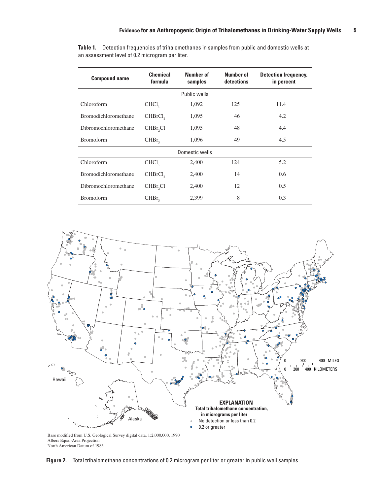**Table 1.** Detection frequencies of trihalomethanes in samples from public and domestic wells at an assessment level of 0.2 microgram per liter.

| <b>Compound name</b> | <b>Chemical</b><br>formula | Number of<br>samples | Number of<br>detections | <b>Detection frequency,</b><br>in percent |  |  |
|----------------------|----------------------------|----------------------|-------------------------|-------------------------------------------|--|--|
| Public wells         |                            |                      |                         |                                           |  |  |
| Chloroform           | CHCl <sub>2</sub>          | 1,092                | 125                     | 11.4                                      |  |  |
| Bromodichloromethane | CHBrCl <sub>2</sub>        | 1,095                | 46                      | 4.2                                       |  |  |
| Dibromochloromethane | CHBr <sub>2</sub> Cl       | 1,095                | 48                      | 4.4                                       |  |  |
| <b>Bromoform</b>     | CHBr <sub>2</sub>          | 1,096                | 49                      | 4.5                                       |  |  |
| Domestic wells       |                            |                      |                         |                                           |  |  |
| Chloroform           | CHCl <sub>2</sub>          | 2,400                | 124                     | 5.2                                       |  |  |
| Bromodichloromethane | CHBrCl <sub>2</sub>        | 2,400                | 14                      | 0.6                                       |  |  |
| Dibromochloromethane | CHBr <sub>2</sub> Cl       | 2,400                | 12                      | 0.5                                       |  |  |
| <b>Bromoform</b>     | CHBr <sub>2</sub>          | 2,399                | 8                       | 0.3                                       |  |  |



Base modified from U.S. Geological Survey digital data, 1:2,000,000, 1990 Albers Equal-Area Projection North American Datum of 1983

**Figure 2.** Total trihalomethane concentrations of 0.2 microgram per liter or greater in public well samples.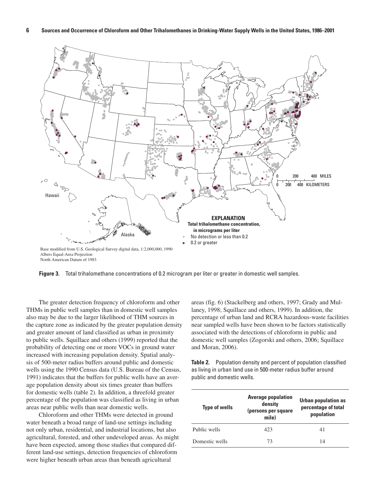

**Figure 3.** Total trihalomethane concentrations of 0.2 microgram per liter or greater in domestic well samples.

The greater detection frequency of chloroform and other THMs in public well samples than in domestic well samples also may be due to the larger likelihood of THM sources in the capture zone as indicated by the greater population density and greater amount of land classified as urban in proximity to public wells. Squillace and others (1999) reported that the probability of detecting one or more VOCs in ground water increased with increasing population density. Spatial analysis of 500-meter radius buffers around public and domestic wells using the 1990 Census data (U.S. Bureau of the Census, 1991) indicates that the buffers for public wells have an average population density about six times greater than buffers for domestic wells (table 2). In addition, a threefold greater percentage of the population was classified as living in urban areas near public wells than near domestic wells.

Chloroform and other THMs were detected in ground water beneath a broad range of land-use settings including not only urban, residential, and industrial locations, but also agricultural, forested, and other undeveloped areas. As might have been expected, among those studies that compared different land-use settings, detection frequencies of chloroform were higher beneath urban areas than beneath agricultural

areas (fig. 6) (Stackelberg and others, 1997; Grady and Mullaney, 1998; Squillace and others, 1999). In addition, the percentage of urban land and RCRA hazardous-waste facilities near sampled wells have been shown to be factors statistically associated with the detections of chloroform in public and domestic well samples (Zogorski and others, 2006; Squillace and Moran, 2006).

**Table 2.** Population density and percent of population classified as living in urban land use in 500-meter radius buffer around public and domestic wells.

| <b>Type of wells</b> | <b>Average population</b><br>density<br>(persons per square<br>mile) | <b>Urban population as</b><br>percentage of total<br>population |
|----------------------|----------------------------------------------------------------------|-----------------------------------------------------------------|
| Public wells         | 423                                                                  | 41                                                              |
| Domestic wells       | 73                                                                   | 14                                                              |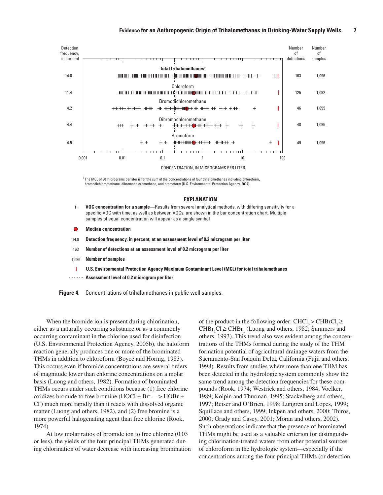

 $^1$  The MCL of 80 micrograms per liter is for the sum of the concentrations of four trihalomethanes including chloroform, bromodichloromethane, dibromochloromethane, and bromoform (U.S. Environmental Protection Agency, 2004).

#### **EXPLANATION**

- **VOC concentration for a sample—**Results from several analytical methods, with differing sensitivity for a  $+$ specific VOC with time, as well as between VOCs, are shown in the bar concentration chart. Multiple samples of equal concentration will appear as a single symbol
- **Median concentration**
- 14.8 **Detection frequency, in percent, at an assessment level of 0.2 microgram per liter**
- 163 **Number of detections at an assessment level of 0.2 microgram per liter**
- 1,096 **Number of samples**
- **U.S. Environmental Protection Agency Maximum Contaminant Level (MCL) for total trihalomethanes**
- **Assessment level of 0.2 microgram per liter**

**Figure 4.** Concentrations of trihalomethanes in public well samples.

When the bromide ion is present during chlorination, either as a naturally occurring substance or as a commonly occurring contaminant in the chlorine used for disinfection (U.S. Environmental Protection Agency, 2005b), the haloform reaction generally produces one or more of the brominated THMs in addition to chloroform (Boyce and Hornig, 1983). This occurs even if bromide concentrations are several orders of magnitude lower than chlorine concentrations on a molar basis (Luong and others, 1982). Formation of brominated THMs occurs under such conditions because (1) free chlorine oxidizes bromide to free bromine  $(HOCl + Br \rightarrow HOBr +$ Cl- ) much more rapidly than it reacts with dissolved organic matter (Luong and others, 1982), and (2) free bromine is a more powerful halogenating agent than free chlorine (Rook, 1974).

At low molar ratios of bromide ion to free chlorine (0.03 or less), the yields of the four principal THMs generated during chlorination of water decrease with increasing bromination of the product in the following order: CHCl<sub>2</sub> > CHBrCl<sub>2</sub> ≥  $CHBr_2Cl \geq CHBr_3$  (Luong and others, 1982; Summers and others, 1993). This trend also was evident among the concentrations of the THMs formed during the study of the THM formation potential of agricultural drainage waters from the Sacramento-San Joaquin Delta, California (Fujii and others, 1998). Results from studies where more than one THM has been detected in the hydrologic system commonly show the same trend among the detection frequencies for these compounds (Rook, 1974; Westrick and others, 1984; Voelker, 1989; Kolpin and Thurman, 1995; Stackelberg and others, 1997; Reiser and O'Brien, 1998; Lungren and Lopes, 1999; Squillace and others, 1999; Inkpen and others, 2000; Thiros, 2000; Grady and Casey, 2001; Moran and others, 2002). Such observations indicate that the presence of brominated THMs might be used as a valuable criterion for distinguishing chlorination-treated waters from other potential sources of chloroform in the hydrologic system—especially if the concentrations among the four principal THMs (or detection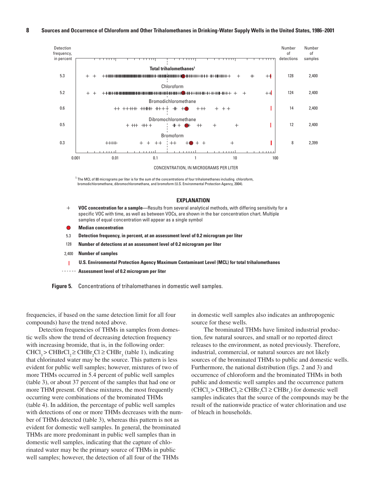

 $^1$  The MCL of 80 micrograms per liter is for the sum of the concentrations of four trihalomethanes including chloroform, bromodichloromethane, dibromochloromethane, and bromoform (U.S. Environmental Protection Agency, 2004).

#### **EXPLANATION**

- **VOC concentration for a sample—**Results from several analytical methods, with differing sensitivity for a  $+$ specific VOC with time, as well as between VOCs, are shown in the bar concentration chart. Multiple samples of equal concentration will appear as a single symbol
- **Median concentration**
- 5.3 **Detection frequency, in percent, at an assessment level of 0.2 microgram per liter**
- 128 **Number of detections at an assessment level of 0.2 microgram per liter**
- 2,400 **Number of samples**
- **U.S. Environmental Protection Agency Maximum Contaminant Level (MCL) for total trihalomethanes**
- **Assessment level of 0.2 microgram per liter**

**Figure 5.** Concentrations of trihalomethanes in domestic well samples.

frequencies, if based on the same detection limit for all four compounds) have the trend noted above.

Detection frequencies of THMs in samples from domestic wells show the trend of decreasing detection frequency with increasing bromide, that is, in the following order:  $CHCl<sub>3</sub> > CHBrCl<sub>2</sub> \geq CHBr<sub>2</sub>Cl \geq CHBr<sub>3</sub>$  (table 1), indicating that chlorinated water may be the source. This pattern is less evident for public well samples; however, mixtures of two of more THMs occurred in 5.4 percent of public well samples (table 3), or about 37 percent of the samples that had one or more THM present. Of these mixtures, the most frequently occurring were combinations of the brominated THMs (table 4). In addition, the percentage of public well samples with detections of one or more THMs decreases with the number of THMs detected (table 3), whereas this pattern is not as evident for domestic well samples. In general, the brominated THMs are more predominant in public well samples than in domestic well samples, indicating that the capture of chlorinated water may be the primary source of THMs in public well samples; however, the detection of all four of the THMs

in domestic well samples also indicates an anthropogenic source for these wells.

The brominated THMs have limited industrial production, few natural sources, and small or no reported direct releases to the environment, as noted previously. Therefore, industrial, commercial, or natural sources are not likely sources of the brominated THMs to public and domestic wells. Furthermore, the national distribution (figs. 2 and 3) and occurrence of chloroform and the brominated THMs in both public and domestic well samples and the occurrence pattern  $(CHCI<sub>3</sub> > CHBrCl<sub>2</sub> \ge CHBr<sub>2</sub>Cl \ge CHBr<sub>3</sub>$  for domestic well samples indicates that the source of the compounds may be the result of the nationwide practice of water chlorination and use of bleach in households.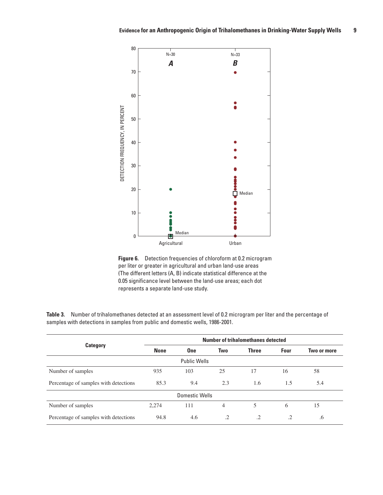



|                                       | Number of trihalomethanes detected |            |         |              |           |             |
|---------------------------------------|------------------------------------|------------|---------|--------------|-----------|-------------|
| <b>Category</b>                       | <b>None</b>                        | <b>One</b> | Two     | <b>Three</b> | Four      | Two or more |
| <b>Public Wells</b>                   |                                    |            |         |              |           |             |
| Number of samples                     | 935                                | 103        | 25      | 17           | 16        | 58          |
| Percentage of samples with detections | 85.3                               | 9.4        | 2.3     | 1.6          | 1.5       | 5.4         |
| Domestic Wells                        |                                    |            |         |              |           |             |
| Number of samples                     | 2,274                              | 111        | 4       | 5            | 6         | 15          |
| Percentage of samples with detections | 94.8                               | 4.6        | $\cdot$ | $\cdot$      | $\cdot$ 2 | .6          |

**Table 3.** Number of trihalomethanes detected at an assessment level of 0.2 microgram per liter and the percentage of samples with detections in samples from public and domestic wells, 1986-2001.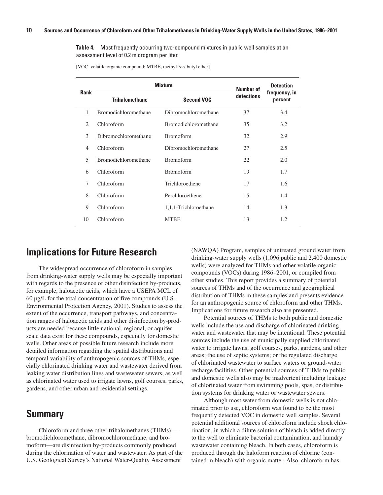**Table 4.** Most frequently occurring two-compound mixtures in public well samples at an assessment level of 0.2 microgram per liter.

[VOC, volatile organic compound; MTBE, methyl-*tert* butyl ether]

|                | <b>Mixture</b>              | <b>Number of</b>            | <b>Detection</b> |                          |  |
|----------------|-----------------------------|-----------------------------|------------------|--------------------------|--|
| <b>Rank</b>    | <b>Trihalomethane</b>       | <b>Second VOC</b>           | detections       | frequency, in<br>percent |  |
| 1              | <b>Bromodichloromethane</b> | Dibromochloromethane        | 37               | 3.4                      |  |
| $\overline{c}$ | Chloroform                  | <b>Bromodichloromethane</b> | 35               | 3.2                      |  |
| 3              | Dibromochloromethane        | <b>Bromoform</b>            | 32               | 2.9                      |  |
| $\overline{4}$ | Chloroform                  | Dibromochloromethane        | 27               | 2.5                      |  |
| $\overline{5}$ | <b>Bromodichloromethane</b> | <b>Bromoform</b>            | 22               | 2.0                      |  |
| 6              | Chloroform                  | <b>Bromoform</b>            | 19               | 1.7                      |  |
| 7              | Chloroform                  | Trichloroethene             | 17               | 1.6                      |  |
| 8              | Chloroform                  | Perchloroethene             | 15               | 1.4                      |  |
| 9              | Chloroform                  | 1,1,1-Trichloroethane       | 14               | 1.3                      |  |
| 10             | Chloroform                  | <b>MTBE</b>                 | 13               | 1.2                      |  |

### **Implications for Future Research**

The widespread occurrence of chloroform in samples from drinking-water supply wells may be especially important with regards to the presence of other disinfection by-products, for example, haloacetic acids, which have a USEPA MCL of 60 µg/L for the total concentration of five compounds (U.S. Environmental Protection Agency, 2001). Studies to assess the extent of the occurrence, transport pathways, and concentration ranges of haloacetic acids and other disinfection by-products are needed because little national, regional, or aquiferscale data exist for these compounds, especially for domestic wells. Other areas of possible future research include more detailed information regarding the spatial distributions and temporal variability of anthropogenic sources of THMs, especially chlorinated drinking water and wastewater derived from leaking water distribution lines and wastewater sewers, as well as chlorinated water used to irrigate lawns, golf courses, parks, gardens, and other urban and residential settings.

### **Summary**

Chloroform and three other trihalomethanes (THMs) bromodichloromethane, dibromochloromethane, and bromoform—are disinfection by-products commonly produced during the chlorination of water and wastewater. As part of the U.S. Geological Survey's National Water-Quality Assessment

(NAWQA) Program, samples of untreated ground water from drinking-water supply wells (1,096 public and 2,400 domestic wells) were analyzed for THMs and other volatile organic compounds (VOCs) during 1986–2001, or compiled from other studies. This report provides a summary of potential sources of THMs and of the occurrence and geographical distribution of THMs in these samples and presents evidence for an anthropogenic source of chloroform and other THMs. Implications for future research also are presented.

Potential sources of THMs to both public and domestic wells include the use and discharge of chlorinated drinking water and wastewater that may be intentional. These potential sources include the use of municipally supplied chlorinated water to irrigate lawns, golf courses, parks, gardens, and other areas; the use of septic systems; or the regulated discharge of chlorinated wastewater to surface waters or ground-water recharge facilities. Other potential sources of THMs to public and domestic wells also may be inadvertent including leakage of chlorinated water from swimming pools, spas, or distribution systems for drinking water or wastewater sewers.

Although most water from domestic wells is not chlorinated prior to use, chloroform was found to be the most frequently detected VOC in domestic well samples. Several potential additional sources of chloroform include shock chlorination, in which a dilute solution of bleach is added directly to the well to eliminate bacterial contamination, and laundry wastewater containing bleach. In both cases, chloroform is produced through the haloform reaction of chlorine (contained in bleach) with organic matter. Also, chloroform has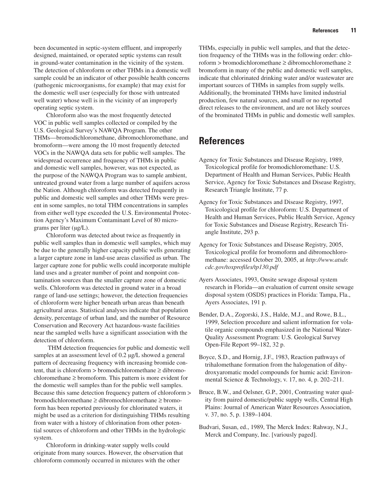been documented in septic-system effluent, and improperly designed, maintained, or operated septic systems can result in ground-water contamination in the vicinity of the system. The detection of chloroform or other THMs in a domestic well sample could be an indicator of other possible health concerns (pathogenic microorganisms, for example) that may exist for the domestic well user (especially for those with untreated well water) whose well is in the vicinity of an improperly operating septic system.

Chloroform also was the most frequently detected VOC in public well samples collected or compiled by the U.S. Geological Survey's NAWQA Program. The other THMs—bromodichloromethane, dibromochloromethane, and bromoform—were among the 10 most frequently detected VOCs in the NAWQA data sets for public well samples. The widespread occurrence and frequency of THMs in public and domestic well samples, however, was not expected, as the purpose of the NAWQA Program was to sample ambient, untreated ground water from a large number of aquifers across the Nation. Although chloroform was detected frequently in public and domestic well samples and other THMs were present in some samples, no total THM concentrations in samples from either well type exceeded the U.S. Environmental Protection Agency's Maximum Contaminant Level of 80 micrograms per liter (µg/L).

Chloroform was detected about twice as frequently in public well samples than in domestic well samples, which may be due to the generally higher capacity public wells generating a larger capture zone in land-use areas classified as urban. The larger capture zone for public wells could incorporate multiple land uses and a greater number of point and nonpoint contamination sources than the smaller capture zone of domestic wells. Chloroform was detected in ground water in a broad range of land-use settings; however, the detection frequencies of chloroform were higher beneath urban areas than beneath agricultural areas. Statistical analyses indicate that population density, percentage of urban land, and the number of Resource Conservation and Recovery Act hazardous-waste facilities near the sampled wells have a significant association with the detection of chloroform.

 THM detection frequencies for public and domestic well samples at an assessment level of 0.2  $\mu$ g/L showed a general pattern of decreasing frequency with increasing bromide content, that is chloroform > bromodichloromethane ≥ dibromochloromethane ≥ bromoform. This pattern is more evident for the domestic well samples than for the public well samples. Because this same detection frequency pattern of chloroform > bromodichloromethane ≥ dibromochloromethane ≥ bromoform has been reported previously for chlorinated waters, it might be used as a criterion for distinguishing THMs resulting from water with a history of chlorination from other potential sources of chloroform and other THMs in the hydrologic system.

Chloroform in drinking-water supply wells could originate from many sources. However, the observation that chloroform commonly occurred in mixtures with the other

THMs, especially in public well samples, and that the detection frequency of the THMs was in the following order: chloroform > bromodichloromethane ≥ dibromochloromethane ≥ bromoform in many of the public and domestic well samples, indicate that chlorinated drinking water and/or wastewater are important sources of THMs in samples from supply wells. Additionally, the brominated THMs have limited industrial

production, few natural sources, and small or no reported direct releases to the environment, and are not likely sources of the brominated THMs in public and domestic well samples.

## **References**

- Agency for Toxic Substances and Disease Registry, 1989, Toxicological profile for bromodichloromethane: U.S. Department of Health and Human Services, Public Health Service, Agency for Toxic Substances and Disease Registry, Research Triangle Institute, 77 p.
- Agency for Toxic Substances and Disease Registry, 1997, Toxicological profile for chloroform: U.S. Department of Health and Human Services, Public Health Service, Agency for Toxic Substances and Disease Registry, Research Triangle Institute, 293 p.
- Agency for Toxic Substances and Disease Registry, 2005, Toxicological profile for bromoform and dibromochloromethane: accessed October 20, 2005, at *http://www.atsdr. cdc.gov/toxprofiles/tp130.pdf*
- Ayers Associates, 1993, Onsite sewage disposal system research in Florida—an evaluation of current onsite sewage disposal system (OSDS) practices in Florida: Tampa, Fla., Ayers Associates, 191 p.
- Bender, D.A., Zogorski, J.S., Halde, M.J., and Rowe, B.L., 1999, Selection procedure and salient information for volatile organic compounds emphasized in the National Water-Quality Assessment Program: U.S. Geological Survey Open-File Report 99–182, 32 p.
- Boyce, S.D., and Hornig, J.F., 1983, Reaction pathways of trihalomethane formation from the halogenation of dihydroxyaromatic model compounds for humic acid: Environmental Science & Technology, v. 17, no. 4, p. 202–211.
- Bruce, B.W., and Oelsner, G.P., 2001, Contrasting water quality from paired domestic/public supply wells, Central High Plains: Journal of American Water Resources Association, v. 37, no. 5, p. 1389–1404.
- Budvari, Susan, ed., 1989, The Merck Index: Rahway, N.J., Merck and Company, Inc. [variously paged].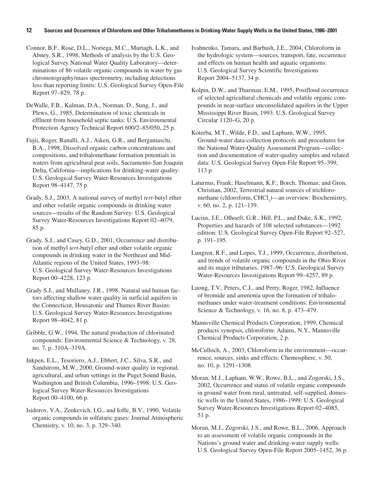#### **12 Sources and Occurrence of Chloroform and Other Trihalomethanes in Drinking-Water Supply Wells in the United States, 1986–2001**

Connor, B.F., Rose, D.L., Noriega, M.C., Murtagh, L.K., and Abney, S.R., 1998, Methods of analysis by the U.S. Geological Survey National Water Quality Laboratory—determinations of 86 volatile organic compounds in water by gas chromotography/mass spectrometry, including detections less than reporting limits: U.S. Geological Survey Open-File Report 97–829, 78 p.

DeWalle, F.B., Kalman, D.A., Norman, D., Sung, J., and Plews, G., 1985, Determination of toxic chemicals in effluent from household septic tanks: U.S. Environmental Protection Agency Technical Report 600/2–85/050, 25 p.

Fujii, Roger, Ranalli, A.J., Aiken, G.R., and Bergamaschi, B.A., 1998, Dissolved organic carbon concentrations and compositions, and trihalomethane formation potentials in waters from agricultural peat soils, Sacramento-San Joaquin Delta, California—implications for drinking-water quality: U.S. Geological Survey Water-Resources Investigations Report 98–4147, 75 p.

Grady, S.J., 2003, A national survey of methyl *tert*-butyl ether and other volatile organic compounds in drinking water sources—results of the Random Survey: U.S. Geological Survey Water-Resources Investigations Report 02–4079, 85 p.

Grady, S.J., and Casey, G.D., 2001, Occurrence and distribution of methyl *tert*-butyl ether and other volatile organic compounds in drinking water in the Northeast and Mid-Atlantic regions of the United States, 1993–98: U.S. Geological Survey Water-Resources Investigations Report 00–4228, 123 p.

Grady S.J., and Mullaney, J.R., 1998, Natural and human factors affecting shallow water quality in surficial aquifers in the Connecticut, Housatonic and Thames River Basins: U.S. Geological Survey Water-Resources Investigations Report 98–4042, 81 p.

Gribble, G.W., 1994, The natural production of chlorinated compounds: Environmental Science & Technology, v. 28, no. 7, p. 310A–319A.

Inkpen, E.L., Tesoriero, A.J., Ebbert, J.C., Silva, S.R., and Sandstrom, M.W., 2000, Ground-water quality in regional, agricultural, and urban settings in the Puget Sound Basin, Washington and British Columbia, 1996–1998: U.S. Geological Survey Water-Resources Investigations Report 00–4100, 66 p.

Isidorov, V.A., Zenkevich, I.G., and Ioffe, B.V., 1990, Volatile organic compounds in solfataric gases: Journal Atmospheric Chemistry, v. 10, no. 3, p. 329–340.

Ivahnenko, Tamara, and Barbash, J.E., 2004, Chloroform in the hydrologic system—sources, transport, fate, occurrence and effects on human health and aquatic organisms: U.S. Geological Survey Scientific Investigations Report 2004–5137, 34 p.

Kolpin, D.W., and Thurman, E.M., 1995, Postflood occurrence of selected agricultural chemicals and volatile organic compounds in near-surface unconsolidated aquifers in the Upper Mississippi River Basin, 1993: U.S. Geological Survey Circular 1120–G, 20 p.

Koterba, M.T., Wilde, F.D., and Lapham, W.W., 1995, Ground-water data-collection protocols and procedures for the National Water-Quality Assessment Program—collection and documentation of water-quality samples and related data: U.S. Geological Survey Open-File Report 95–399, 113 p.

Laturnus, Frank; Haselmann, K.F.; Borch, Thomas; and Gron, Christian, 2002, Terrestrial natural sources of trichloromethane (chloroform, CHCl<sub>3</sub>)—an overview: Biochemistry, v. 60, no. 2, p. 121–139.

Lucius, J.E., Olhoeft, G.R., Hill, P.L., and Duke, S.K., 1992, Properties and hazards of 108 selected substances—1992 edition: U.S. Geological Survey Open-File Report 92–527, p. 191–195.

Lungren, R.F., and Lopes, T.J., 1999, Occurrence, distribution, and trends of volatile organic compounds in the Ohio River and its major tributaries, 1987–96: U.S. Geological Survey Water-Resources Investigations Report 99–4257, 89 p.

Luong, T.V., Peters, C.J., and Perry, Roger, 1982, Influence of bromide and ammonia upon the formation of trihalomethanes under water-treatment conditions: Environmental Science & Technology, v. 16, no. 8, p. 473–479.

Mannsville Chemical Products Corporation, 1999, Chemical products synopsis, chloroform: Adams, N.Y., Mannsville Chemical Products Corporation, 2 p.

McCulloch, A., 2003, Chloroform in the environment—occurrence, sources, sinks and effects: Chemosphere, v. 50, no. 10, p. 1291–1308.

Moran, M.J., Lapham, W.W., Rowe, B.L., and Zogorski, J.S., 2002, Occurrence and status of volatile organic compounds in ground water from rural, untreated, self-supplied, domestic wells in the United States, 1986–1999: U.S. Geological Survey Water-Resources Investigations Report 02–4085, 51 p.

Moran, M.J., Zogorski, J.S., and Rowe, B.L., 2006, Approach to an assessment of volatile organic compounds in the Nations's ground water and drinking-water supply wells: U.S. Geological Survey Open-File Report 2005–1452, 36 p.